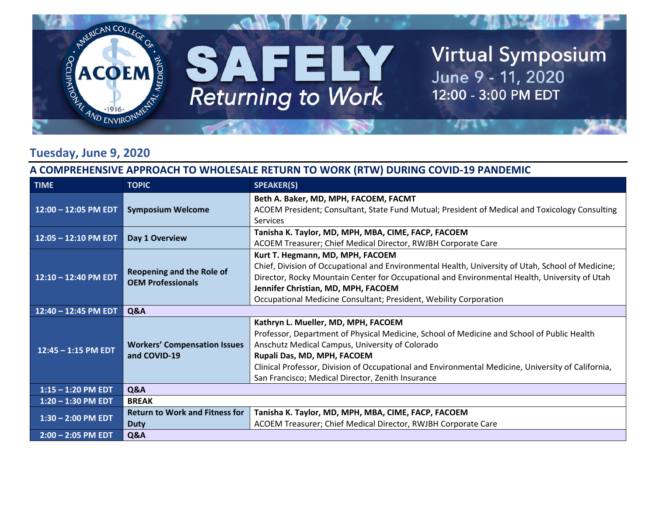

#### **Tuesday, June 9, 2020**

#### **A COMPREHENSIVE APPROACH TO WHOLESALE RETURN TO WORK (RTW) DURING COVID‐19 PANDEMIC**

| <b>TIME</b>            | <b>TOPIC</b>                                          | <b>SPEAKER(S)</b>                                                                                  |
|------------------------|-------------------------------------------------------|----------------------------------------------------------------------------------------------------|
| $12:00 - 12:05$ PM EDT | <b>Symposium Welcome</b>                              | Beth A. Baker, MD, MPH, FACOEM, FACMT                                                              |
|                        |                                                       | ACOEM President; Consultant, State Fund Mutual; President of Medical and Toxicology Consulting     |
|                        |                                                       | <b>Services</b>                                                                                    |
| $12:05 - 12:10$ PM EDT | Day 1 Overview                                        | Tanisha K. Taylor, MD, MPH, MBA, CIME, FACP, FACOEM                                                |
|                        |                                                       | ACOEM Treasurer; Chief Medical Director, RWJBH Corporate Care                                      |
|                        | Reopening and the Role of<br><b>OEM Professionals</b> | Kurt T. Hegmann, MD, MPH, FACOEM                                                                   |
|                        |                                                       | Chief, Division of Occupational and Environmental Health, University of Utah, School of Medicine;  |
| 12:10 - 12:40 PM EDT   |                                                       | Director, Rocky Mountain Center for Occupational and Environmental Health, University of Utah      |
|                        |                                                       | Jennifer Christian, MD, MPH, FACOEM                                                                |
|                        |                                                       | Occupational Medicine Consultant; President, Webility Corporation                                  |
| 12:40 - 12:45 PM EDT   | Q&A                                                   |                                                                                                    |
|                        | <b>Workers' Compensation Issues</b><br>and COVID-19   | Kathryn L. Mueller, MD, MPH, FACOEM                                                                |
|                        |                                                       | Professor, Department of Physical Medicine, School of Medicine and School of Public Health         |
|                        |                                                       | Anschutz Medical Campus, University of Colorado                                                    |
| $12:45 - 1:15$ PM EDT  |                                                       | Rupali Das, MD, MPH, FACOEM                                                                        |
|                        |                                                       | Clinical Professor, Division of Occupational and Environmental Medicine, University of California, |
|                        |                                                       | San Francisco; Medical Director, Zenith Insurance                                                  |
| $1:15 - 1:20$ PM EDT   | Q&A                                                   |                                                                                                    |
| $1:20 - 1:30$ PM EDT   | <b>BREAK</b>                                          |                                                                                                    |
| $1:30 - 2:00$ PM EDT   | <b>Return to Work and Fitness for</b>                 | Tanisha K. Taylor, MD, MPH, MBA, CIME, FACP, FACOEM                                                |
|                        | <b>Duty</b>                                           | ACOEM Treasurer; Chief Medical Director, RWJBH Corporate Care                                      |
| $2:00 - 2:05$ PM EDT   | Q&A                                                   |                                                                                                    |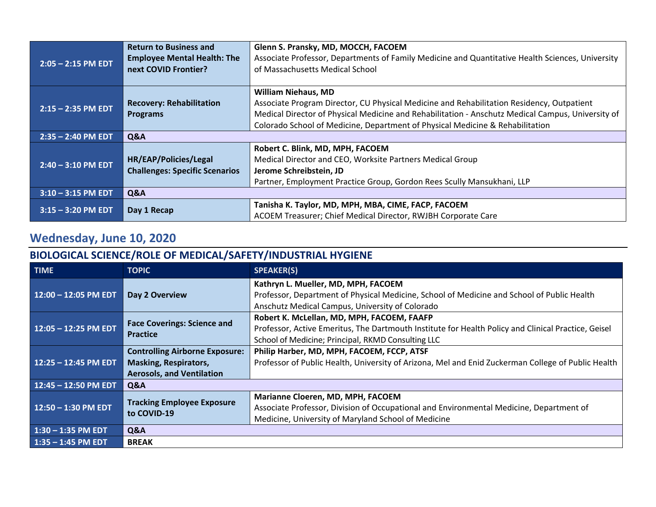| $2:05 - 2:15$ PM EDT | <b>Return to Business and</b>         | Glenn S. Pransky, MD, MOCCH, FACOEM                                                               |
|----------------------|---------------------------------------|---------------------------------------------------------------------------------------------------|
|                      | <b>Employee Mental Health: The</b>    | Associate Professor, Departments of Family Medicine and Quantitative Health Sciences, University  |
|                      | next COVID Frontier?                  | of Massachusetts Medical School                                                                   |
|                      |                                       |                                                                                                   |
|                      |                                       | <b>William Niehaus, MD</b>                                                                        |
| $2:15 - 2:35$ PM EDT | <b>Recovery: Rehabilitation</b>       | Associate Program Director, CU Physical Medicine and Rehabilitation Residency, Outpatient         |
|                      | <b>Programs</b>                       | Medical Director of Physical Medicine and Rehabilitation - Anschutz Medical Campus, University of |
|                      |                                       | Colorado School of Medicine, Department of Physical Medicine & Rehabilitation                     |
| $2:35 - 2:40$ PM EDT | <b>Q&amp;A</b>                        |                                                                                                   |
| $2:40 - 3:10$ PM EDT |                                       | Robert C. Blink, MD, MPH, FACOEM                                                                  |
|                      | HR/EAP/Policies/Legal                 | Medical Director and CEO, Worksite Partners Medical Group                                         |
|                      | <b>Challenges: Specific Scenarios</b> | Jerome Schreibstein, JD                                                                           |
|                      |                                       | Partner, Employment Practice Group, Gordon Rees Scully Mansukhani, LLP                            |
| $3:10 - 3:15$ PM EDT | Q&A                                   |                                                                                                   |
| $3:15 - 3:20$ PM EDT | Day 1 Recap                           | Tanisha K. Taylor, MD, MPH, MBA, CIME, FACP, FACOEM                                               |
|                      |                                       | ACOEM Treasurer; Chief Medical Director, RWJBH Corporate Care                                     |

## **Wednesday, June 10, 2020**

### **BIOLOGICAL SCIENCE/ROLE OF MEDICAL/SAFETY/INDUSTRIAL HYGIENE**

| <b>TIME</b>            | <b>TOPIC</b>                                                                                              | <b>SPEAKER(S)</b>                                                                                                                                                                                       |
|------------------------|-----------------------------------------------------------------------------------------------------------|---------------------------------------------------------------------------------------------------------------------------------------------------------------------------------------------------------|
| $12:00 - 12:05$ PM EDT | Day 2 Overview                                                                                            | Kathryn L. Mueller, MD, MPH, FACOEM<br>Professor, Department of Physical Medicine, School of Medicine and School of Public Health<br>Anschutz Medical Campus, University of Colorado                    |
| 12:05 - 12:25 PM EDT   | <b>Face Coverings: Science and</b><br><b>Practice</b>                                                     | Robert K. McLellan, MD, MPH, FACOEM, FAAFP<br>Professor, Active Emeritus, The Dartmouth Institute for Health Policy and Clinical Practice, Geisel<br>School of Medicine; Principal, RKMD Consulting LLC |
| $12:25 - 12:45$ PM EDT | <b>Controlling Airborne Exposure:</b><br><b>Masking, Respirators,</b><br><b>Aerosols, and Ventilation</b> | Philip Harber, MD, MPH, FACOEM, FCCP, ATSF<br>Professor of Public Health, University of Arizona, Mel and Enid Zuckerman College of Public Health                                                        |
| $12:45 - 12:50$ PM EDT | Q&A                                                                                                       |                                                                                                                                                                                                         |
| $12:50 - 1:30$ PM EDT  | <b>Tracking Employee Exposure</b><br>to COVID-19                                                          | Marianne Cloeren, MD, MPH, FACOEM<br>Associate Professor, Division of Occupational and Environmental Medicine, Department of<br>Medicine, University of Maryland School of Medicine                     |
| $1:30 - 1:35$ PM EDT   | Q&A                                                                                                       |                                                                                                                                                                                                         |
| $1:35 - 1:45$ PM EDT   | <b>BREAK</b>                                                                                              |                                                                                                                                                                                                         |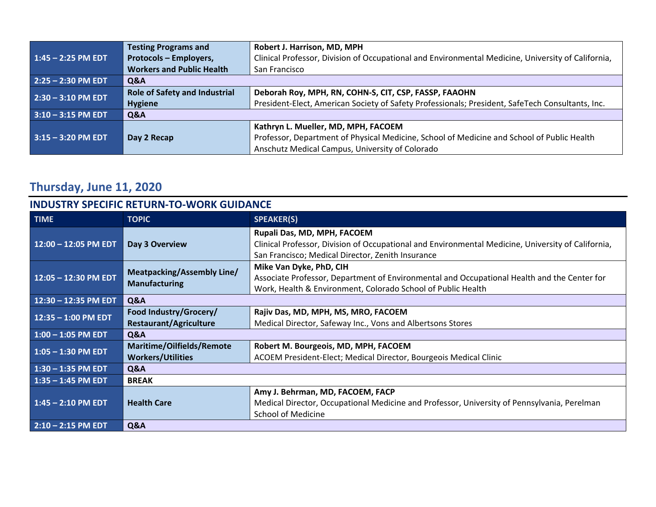|                      | <b>Testing Programs and</b>          | Robert J. Harrison, MD, MPH                                                                        |
|----------------------|--------------------------------------|----------------------------------------------------------------------------------------------------|
| $1:45 - 2:25$ PM EDT | Protocols - Employers,               | Clinical Professor, Division of Occupational and Environmental Medicine, University of California, |
|                      | <b>Workers and Public Health</b>     | San Francisco                                                                                      |
| $2:25 - 2:30$ PM EDT | Q&A                                  |                                                                                                    |
| $2:30 - 3:10$ PM EDT | <b>Role of Safety and Industrial</b> | Deborah Roy, MPH, RN, COHN-S, CIT, CSP, FASSP, FAAOHN                                              |
|                      | <b>Hygiene</b>                       | President-Elect, American Society of Safety Professionals; President, SafeTech Consultants, Inc.   |
| $3:10 - 3:15$ PM EDT | Q&A                                  |                                                                                                    |
| $3:15 - 3:20$ PM EDT |                                      | Kathryn L. Mueller, MD, MPH, FACOEM                                                                |
|                      | Day 2 Recap                          | Professor, Department of Physical Medicine, School of Medicine and School of Public Health         |
|                      |                                      | Anschutz Medical Campus, University of Colorado                                                    |

# **Thursday, June 11, 2020**

| <b>INDUSTRY SPECIFIC RETURN-TO-WORK GUIDANCE</b> |                                                           |                                                                                                                                                                                        |
|--------------------------------------------------|-----------------------------------------------------------|----------------------------------------------------------------------------------------------------------------------------------------------------------------------------------------|
| <b>TIME</b>                                      | <b>TOPIC</b>                                              | <b>SPEAKER(S)</b>                                                                                                                                                                      |
| $12:00 - 12:05$ PM EDT                           | Day 3 Overview                                            | Rupali Das, MD, MPH, FACOEM<br>Clinical Professor, Division of Occupational and Environmental Medicine, University of California,<br>San Francisco; Medical Director, Zenith Insurance |
| 12:05 - 12:30 PM EDT                             | <b>Meatpacking/Assembly Line/</b><br><b>Manufacturing</b> | Mike Van Dyke, PhD, CIH<br>Associate Professor, Department of Environmental and Occupational Health and the Center for<br>Work, Health & Environment, Colorado School of Public Health |
| $12:30 - 12:35$ PM EDT                           | Q&A                                                       |                                                                                                                                                                                        |
| $12:35 - 1:00$ PM EDT                            | Food Industry/Grocery/                                    | Rajiv Das, MD, MPH, MS, MRO, FACOEM                                                                                                                                                    |
|                                                  | <b>Restaurant/Agriculture</b>                             | Medical Director, Safeway Inc., Vons and Albertsons Stores                                                                                                                             |
| $1:00 - 1:05$ PM EDT                             | Q&A                                                       |                                                                                                                                                                                        |
| $1:05 - 1:30$ PM EDT                             | Maritime/Oilfields/Remote                                 | Robert M. Bourgeois, MD, MPH, FACOEM                                                                                                                                                   |
|                                                  | <b>Workers/Utilities</b>                                  | ACOEM President-Elect; Medical Director, Bourgeois Medical Clinic                                                                                                                      |
| $1:30 - 1:35$ PM EDT                             | Q&A                                                       |                                                                                                                                                                                        |
| $1:35 - 1:45$ PM EDT                             | <b>BREAK</b>                                              |                                                                                                                                                                                        |
| $1:45 - 2:10$ PM EDT                             | <b>Health Care</b>                                        | Amy J. Behrman, MD, FACOEM, FACP<br>Medical Director, Occupational Medicine and Professor, University of Pennsylvania, Perelman<br><b>School of Medicine</b>                           |
| $2:10 - 2:15$ PM EDT                             | Q&A                                                       |                                                                                                                                                                                        |